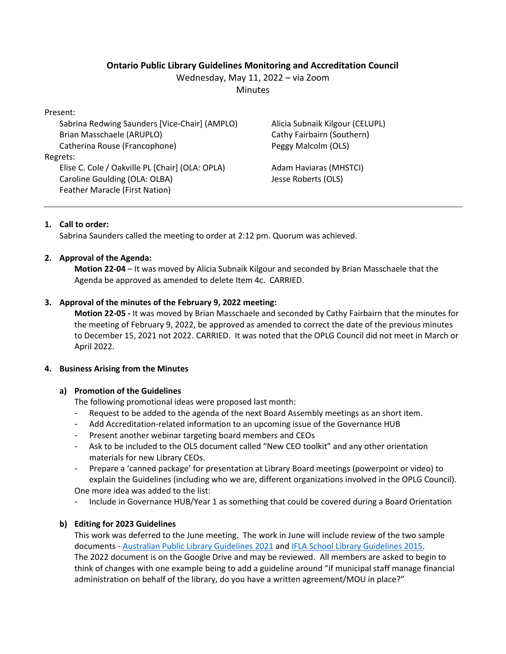# **Ontario Public Library Guidelines Monitoring and Accreditation Council**

Wednesday, May 11, 2022 – via Zoom

**Minutes** 

Present:

Sabrina Redwing Saunders [Vice-Chair] (AMPLO) Brian Masschaele (ARUPLO) Catherina Rouse (Francophone) Regrets: Elise C. Cole / Oakville PL [Chair] (OLA: OPLA) Caroline Goulding (OLA: OLBA) Feather Maracle (First Nation)

Alicia Subnaik Kilgour (CELUPL) Cathy Fairbairn (Southern) Peggy Malcolm (OLS)

Adam Haviaras (MHSTCI) Jesse Roberts (OLS)

## **1. Call to order:**

Sabrina Saunders called the meeting to order at 2:12 pm. Quorum was achieved.

## **2. Approval of the Agenda:**

**Motion 22-04** – It was moved by Alicia Subnaik Kilgour and seconded by Brian Masschaele that the Agenda be approved as amended to delete Item 4c. CARRIED.

## **3. Approval of the minutes of the February 9, 2022 meeting:**

**Motion 22-05 -** It was moved by Brian Masschaele and seconded by Cathy Fairbairn that the minutes for the meeting of February 9, 2022, be approved as amended to correct the date of the previous minutes to December 15, 2021 not 2022. CARRIED. It was noted that the OPLG Council did not meet in March or April 2022.

### **4. Business Arising from the Minutes**

### **a) Promotion of the Guidelines**

The following promotional ideas were proposed last month:

- Request to be added to the agenda of the next Board Assembly meetings as an short item.
- Add Accreditation-related information to an upcoming issue of the Governance HUB
- Present another webinar targeting board members and CEOs
- Ask to be included to the OLS document called "New CEO toolkit" and any other orientation materials for new Library CEOs.
- Prepare a 'canned package' for presentation at Library Board meetings (powerpoint or video) to explain the Guidelines (including who we are, different organizations involved in the OPLG Council). One more idea was added to the list:
- Include in Governance HUB/Year 1 as something that could be covered during a Board Orientation

# **b) Editing for 2023 Guidelines**

This work was deferred to the June meeting. The work in June will include review of the two sample documents - [Australian Public Library Guidelines 2021](https://read.alia.org.au/apla-alia-standards-and-guidelines-australian-public-libraries-may-2021) an[d IFLA School Library Guidelines 2015.](https://www.ifla.org/files/assets/school-libraries-resource-centers/publications/ifla-school-library-guidelines.pdf) The 2022 document is on the Google Drive and may be reviewed. All members are asked to begin to think of changes with one example being to add a guideline around "if municipal staff manage financial administration on behalf of the library, do you have a written agreement/MOU in place?"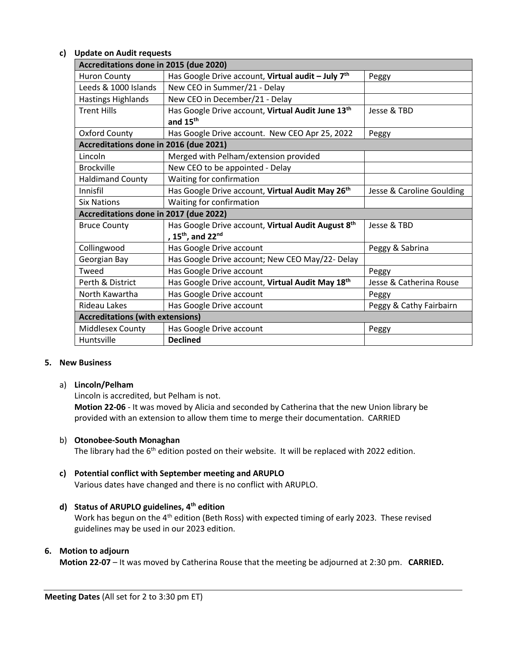### **c) Update on Audit requests**

| Accreditations done in 2015 (due 2020)  |                                                                |                           |
|-----------------------------------------|----------------------------------------------------------------|---------------------------|
| <b>Huron County</b>                     | Has Google Drive account, Virtual audit - July 7 <sup>th</sup> | Peggy                     |
| Leeds & 1000 Islands                    | New CEO in Summer/21 - Delay                                   |                           |
| <b>Hastings Highlands</b>               | New CEO in December/21 - Delay                                 |                           |
| <b>Trent Hills</b>                      | Has Google Drive account, Virtual Audit June 13th              | Jesse & TBD               |
|                                         | and 15 <sup>th</sup>                                           |                           |
| <b>Oxford County</b>                    | Has Google Drive account. New CEO Apr 25, 2022                 | Peggy                     |
| Accreditations done in 2016 (due 2021)  |                                                                |                           |
| Lincoln                                 | Merged with Pelham/extension provided                          |                           |
| <b>Brockville</b>                       | New CEO to be appointed - Delay                                |                           |
| <b>Haldimand County</b>                 | Waiting for confirmation                                       |                           |
| Innisfil                                | Has Google Drive account, Virtual Audit May 26 <sup>th</sup>   | Jesse & Caroline Goulding |
| <b>Six Nations</b>                      | Waiting for confirmation                                       |                           |
| Accreditations done in 2017 (due 2022)  |                                                                |                           |
| <b>Bruce County</b>                     | Has Google Drive account, Virtual Audit August 8th             | Jesse & TBD               |
|                                         | , 15 <sup>th</sup> , and 22 <sup>nd</sup>                      |                           |
| Collingwood                             | Has Google Drive account                                       | Peggy & Sabrina           |
| Georgian Bay                            | Has Google Drive account; New CEO May/22- Delay                |                           |
| Tweed                                   | Has Google Drive account                                       | Peggy                     |
| Perth & District                        | Has Google Drive account, Virtual Audit May 18th               | Jesse & Catherina Rouse   |
| North Kawartha                          | Has Google Drive account                                       | Peggy                     |
| Rideau Lakes                            | Has Google Drive account                                       | Peggy & Cathy Fairbairn   |
| <b>Accreditations (with extensions)</b> |                                                                |                           |
| Middlesex County                        | Has Google Drive account                                       | Peggy                     |
| Huntsville                              | <b>Declined</b>                                                |                           |

#### **5. New Business**

### a) **Lincoln/Pelham**

Lincoln is accredited, but Pelham is not.

**Motion 22-06** - It was moved by Alicia and seconded by Catherina that the new Union library be provided with an extension to allow them time to merge their documentation. CARRIED

### b) **Otonobee-South Monaghan**

The library had the 6<sup>th</sup> edition posted on their website. It will be replaced with 2022 edition.

### **c) Potential conflict with September meeting and ARUPLO**

Various dates have changed and there is no conflict with ARUPLO.

### **d) Status of ARUPLO guidelines, 4th edition**

Work has begun on the 4<sup>th</sup> edition (Beth Ross) with expected timing of early 2023. These revised guidelines may be used in our 2023 edition.

#### **6. Motion to adjourn**

**Motion 22-07** – It was moved by Catherina Rouse that the meeting be adjourned at 2:30 pm. **CARRIED.**